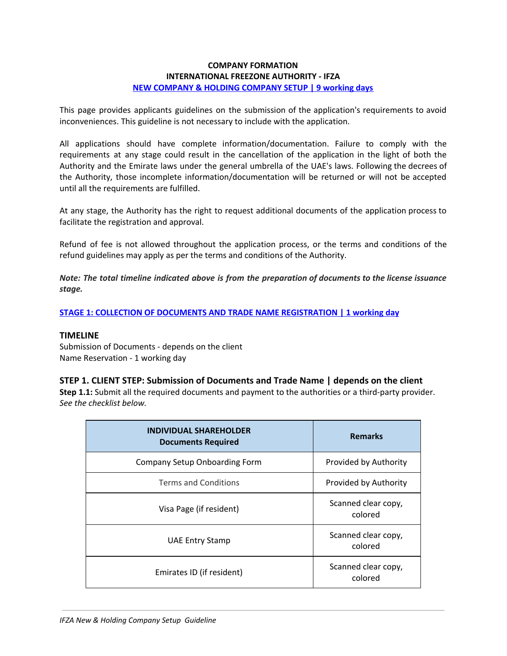# **COMPANY FORMATION INTERNATIONAL FREEZONE AUTHORITY - IFZA NEW COMPANY & HOLDING COMPANY SETUP | 9 working days**

This page provides applicants guidelines on the submission of the application's requirements to avoid inconveniences. This guideline is not necessary to include with the application.

All applications should have complete information/documentation. Failure to comply with the requirements at any stage could result in the cancellation of the application in the light of both the Authority and the Emirate laws under the general umbrella of the UAE's laws. Following the decrees of the Authority, those incomplete information/documentation will be returned or will not be accepted until all the requirements are fulfilled.

At any stage, the Authority has the right to request additional documents of the application process to facilitate the registration and approval.

Refund of fee is not allowed throughout the application process, or the terms and conditions of the refund guidelines may apply as per the terms and conditions of the Authority.

*Note: The total timeline indicated above is from the preparation of documents to the license issuance stage.*

# **STAGE 1: COLLECTION OF DOCUMENTS AND TRADE NAME REGISTRATION | 1 working day**

#### **TIMELINE**

Submission of Documents - depends on the client Name Reservation - 1 working day

# **STEP 1. CLIENT STEP: Submission of Documents and Trade Name | depends on the client**

**Step 1.1:** Submit all the required documents and payment to the authorities or a third-party provider. *See the checklist below.*

| <b>INDIVIDUAL SHAREHOLDER</b><br><b>Documents Required</b> | <b>Remarks</b>                 |
|------------------------------------------------------------|--------------------------------|
| Company Setup Onboarding Form                              | Provided by Authority          |
| <b>Terms and Conditions</b>                                | Provided by Authority          |
| Visa Page (if resident)                                    | Scanned clear copy,<br>colored |
| <b>UAE Entry Stamp</b>                                     | Scanned clear copy,<br>colored |
| Emirates ID (if resident)                                  | Scanned clear copy,<br>colored |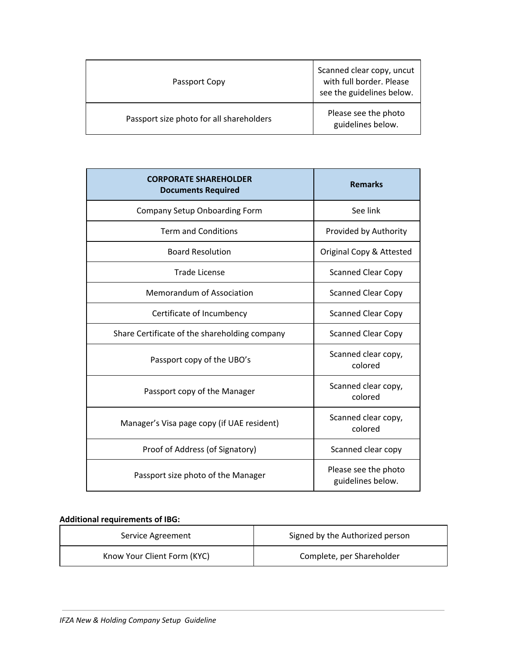| Passport Copy                            | Scanned clear copy, uncut<br>with full border. Please<br>see the guidelines below. |
|------------------------------------------|------------------------------------------------------------------------------------|
| Passport size photo for all shareholders | Please see the photo<br>guidelines below.                                          |

| <b>CORPORATE SHAREHOLDER</b><br><b>Documents Required</b> | <b>Remarks</b>                            |
|-----------------------------------------------------------|-------------------------------------------|
| <b>Company Setup Onboarding Form</b>                      | See link                                  |
| <b>Term and Conditions</b>                                | Provided by Authority                     |
| <b>Board Resolution</b>                                   | Original Copy & Attested                  |
| <b>Trade License</b>                                      | <b>Scanned Clear Copy</b>                 |
| <b>Memorandum of Association</b>                          | <b>Scanned Clear Copy</b>                 |
| Certificate of Incumbency                                 | <b>Scanned Clear Copy</b>                 |
| Share Certificate of the shareholding company             | <b>Scanned Clear Copy</b>                 |
| Passport copy of the UBO's                                | Scanned clear copy,<br>colored            |
| Passport copy of the Manager                              | Scanned clear copy,<br>colored            |
| Manager's Visa page copy (if UAE resident)                | Scanned clear copy,<br>colored            |
| Proof of Address (of Signatory)                           | Scanned clear copy                        |
| Passport size photo of the Manager                        | Please see the photo<br>guidelines below. |

# **Additional requirements of IBG:**

| Service Agreement           | Signed by the Authorized person |
|-----------------------------|---------------------------------|
| Know Your Client Form (KYC) | Complete, per Shareholder       |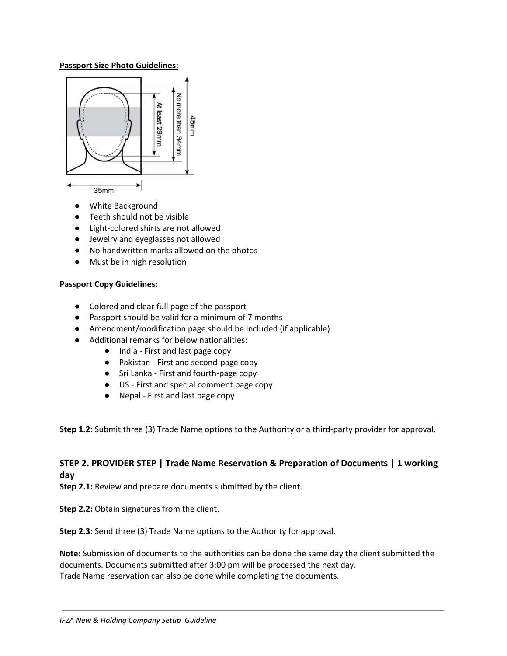### **Passport Size Photo Guidelines:**



- **●** White Background
- **●** Teeth should not be visible
- **●** Light-colored shirts are not allowed
- **●** Jewelry and eyeglasses not allowed
- **●** No handwritten marks allowed on the photos
- **●** Must be in high resolution

#### **Passport Copy Guidelines:**

- Colored and clear full page of the passport
- Passport should be valid for a minimum of 7 months
- Amendment/modification page should be included (if applicable)
- Additional remarks for below nationalities:
	- India First and last page copy
		- Pakistan First and second-page copy
		- Sri Lanka First and fourth-page copy
		- US First and special comment page copy
		- Nepal First and last page copy

**Step 1.2:** Submit three (3) Trade Name options to the Authority or a third-party provider for approval.

# **STEP 2. PROVIDER STEP | Trade Name Reservation & Preparation of Documents | 1 working day**

**Step 2.1:** Review and prepare documents submitted by the client.

**Step 2.2:** Obtain signatures from the client.

**Step 2.3:** Send three (3) Trade Name options to the Authority for approval.

**Note:** Submission of documents to the authorities can be done the same day the client submitted the documents. Documents submitted after 3:00 pm will be processed the next day. Trade Name reservation can also be done while completing the documents.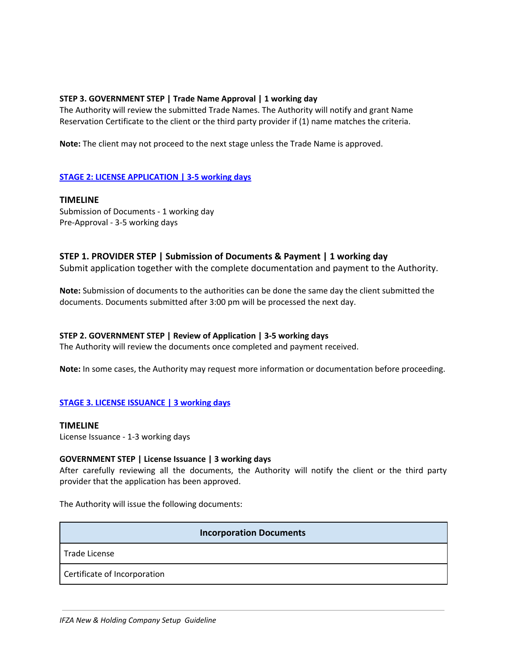# **STEP 3. GOVERNMENT STEP | Trade Name Approval | 1 working day**

The Authority will review the submitted Trade Names. The Authority will notify and grant Name Reservation Certificate to the client or the third party provider if (1) name matches the criteria.

**Note:** The client may not proceed to the next stage unless the Trade Name is approved.

# **STAGE 2: LICENSE APPLICATION | 3-5 working days**

**TIMELINE** Submission of Documents - 1 working day Pre-Approval - 3-5 working days

# **STEP 1. PROVIDER STEP | Submission of Documents & Payment | 1 working day**

Submit application together with the complete documentation and payment to the Authority.

**Note:** Submission of documents to the authorities can be done the same day the client submitted the documents. Documents submitted after 3:00 pm will be processed the next day.

# **STEP 2. GOVERNMENT STEP | Review of Application | 3-5 working days**

The Authority will review the documents once completed and payment received.

**Note:** In some cases, the Authority may request more information or documentation before proceeding.

# **STAGE 3. LICENSE ISSUANCE | 3 working days**

#### **TIMELINE**

License Issuance - 1-3 working days

# **GOVERNMENT STEP | License Issuance | 3 working days**

After carefully reviewing all the documents, the Authority will notify the client or the third party provider that the application has been approved.

The Authority will issue the following documents:

# **Incorporation Documents**

Trade License

Certificate of Incorporation